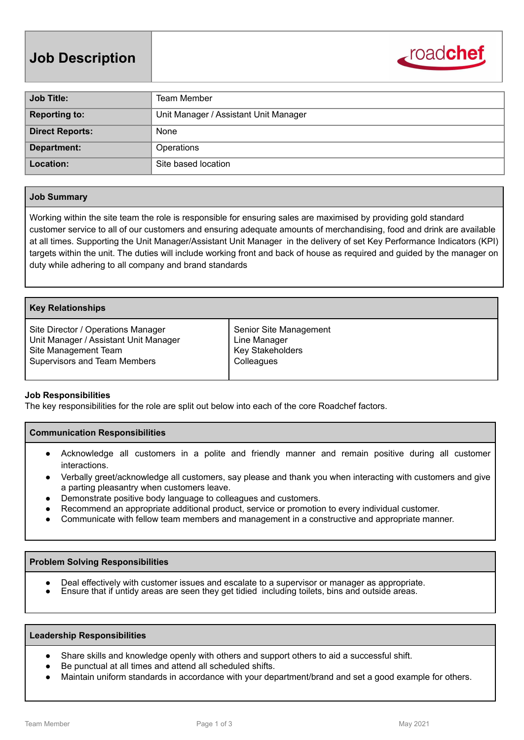

| <b>Job Title:</b>      | Team Member                           |
|------------------------|---------------------------------------|
| <b>Reporting to:</b>   | Unit Manager / Assistant Unit Manager |
| <b>Direct Reports:</b> | None                                  |
| Department:            | Operations                            |
| Location:              | Site based location                   |

# **Job Summary**

Working within the site team the role is responsible for ensuring sales are maximised by providing gold standard customer service to all of our customers and ensuring adequate amounts of merchandising, food and drink are available at all times. Supporting the Unit Manager/Assistant Unit Manager in the delivery of set Key Performance Indicators (KPI) targets within the unit. The duties will include working front and back of house as required and guided by the manager on duty while adhering to all company and brand standards

## **Key Relationships**

| Site Director / Operations Manager    | Senior Site Management  |
|---------------------------------------|-------------------------|
| Unit Manager / Assistant Unit Manager | Line Manager            |
| Site Management Team                  | <b>Key Stakeholders</b> |
| <b>Supervisors and Team Members</b>   | Colleagues              |
|                                       |                         |

# **Job Responsibilities**

The key responsibilities for the role are split out below into each of the core Roadchef factors.

# **Communication Responsibilities**

- Acknowledge all customers in a polite and friendly manner and remain positive during all customer interactions.
- Verbally greet/acknowledge all customers, say please and thank you when interacting with customers and give a parting pleasantry when customers leave.
- Demonstrate positive body language to colleagues and customers.
- Recommend an appropriate additional product, service or promotion to every individual customer.
- Communicate with fellow team members and management in a constructive and appropriate manner.

### **Problem Solving Responsibilities**

- Deal effectively with customer issues and escalate to a supervisor or manager as appropriate.
- Ensure that if untidy areas are seen they get tidied including toilets, bins and outside areas.

### **Leadership Responsibilities**

- Share skills and knowledge openly with others and support others to aid a successful shift.
- Be punctual at all times and attend all scheduled shifts.
- Maintain uniform standards in accordance with your department/brand and set a good example for others.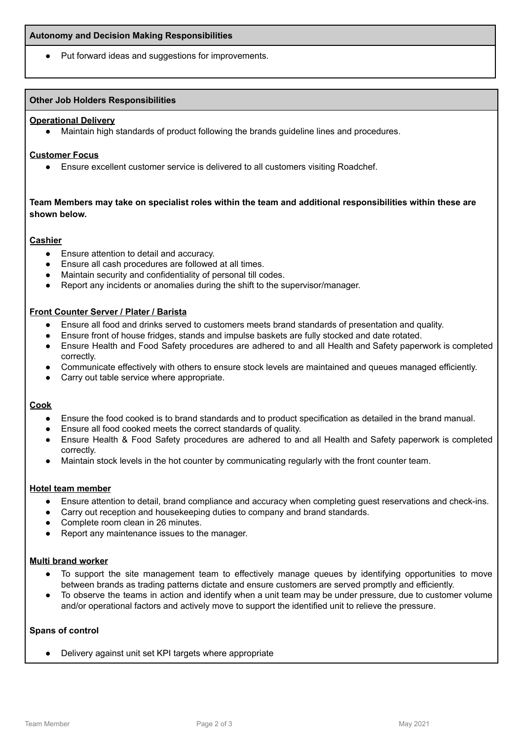Put forward ideas and suggestions for improvements.

## **Other Job Holders Responsibilities**

### **Operational Delivery**

● Maintain high standards of product following the brands guideline lines and procedures.

### **Customer Focus**

Ensure excellent customer service is delivered to all customers visiting Roadchef.

# **Team Members may take on specialist roles within the team and additional responsibilities within these are shown below.**

# **Cashier**

- Ensure attention to detail and accuracy.
- Ensure all cash procedures are followed at all times.
- Maintain security and confidentiality of personal till codes.
- Report any incidents or anomalies during the shift to the supervisor/manager.

# **Front Counter Server / Plater / Barista**

- Ensure all food and drinks served to customers meets brand standards of presentation and quality.
- Ensure front of house fridges, stands and impulse baskets are fully stocked and date rotated.
- Ensure Health and Food Safety procedures are adhered to and all Health and Safety paperwork is completed correctly.
- Communicate effectively with others to ensure stock levels are maintained and queues managed efficiently.
- Carry out table service where appropriate.

### **Cook**

- Ensure the food cooked is to brand standards and to product specification as detailed in the brand manual.
- Ensure all food cooked meets the correct standards of quality.
- Ensure Health & Food Safety procedures are adhered to and all Health and Safety paperwork is completed correctly.
- Maintain stock levels in the hot counter by communicating regularly with the front counter team.

# **Hotel team member**

- Ensure attention to detail, brand compliance and accuracy when completing guest reservations and check-ins.
- Carry out reception and housekeeping duties to company and brand standards.
- Complete room clean in 26 minutes.
- Report any maintenance issues to the manager.

# **Multi brand worker**

- To support the site management team to effectively manage queues by identifying opportunities to move between brands as trading patterns dictate and ensure customers are served promptly and efficiently.
- To observe the teams in action and identify when a unit team may be under pressure, due to customer volume and/or operational factors and actively move to support the identified unit to relieve the pressure.

# **Spans of control**

● Delivery against unit set KPI targets where appropriate